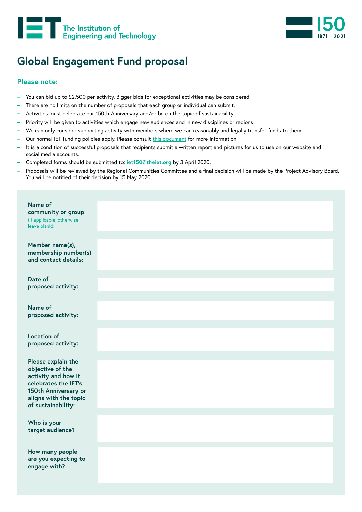



## **Global Engagement Fund proposal**

## **Please note:**

- **–** You can bid up to £2,500 per activity. Bigger bids for exceptional activities may be considered.
- **–** There are no limits on the number of proposals that each group or individual can submit.
- **–** Activities must celebrate our 150th Anniversary and/or be on the topic of sustainability.
- **–** Priority will be given to activities which engage new audiences and in new disciplines or regions.
- **–** We can only consider supporting activity with members where we can reasonably and legally transfer funds to them.
- Our normal IET funding policies apply. Please consult [this document](https://www.theiet.org/media/4444/treasurer_s-handbook-2019-key-points.pdf) for more information.
- **–** It is a condition of successful proposals that recipients submit a written report and pictures for us to use on our website and social media accounts.
- **–** Completed forms should be submitted to: **iet150@theiet.org** by 3 April 2020.
- **–** Proposals will be reviewed by the Regional Communities Committee and a final decision will be made by the Project Advisory Board. You will be notified of their decision by 15 May 2020.

| Name of<br>community or group<br>(if applicable, otherwise<br>leave blank):                                                                                  |  |
|--------------------------------------------------------------------------------------------------------------------------------------------------------------|--|
| Member name(s),<br>membership number(s)<br>and contact details:                                                                                              |  |
| Date of<br>proposed activity:                                                                                                                                |  |
| Name of<br>proposed activity:                                                                                                                                |  |
| <b>Location of</b><br>proposed activity:                                                                                                                     |  |
| Please explain the<br>objective of the<br>activity and how it<br>celebrates the IET's<br>150th Anniversary or<br>aligns with the topic<br>of sustainability: |  |
| Who is your<br>target audience?                                                                                                                              |  |
| How many people<br>are you expecting to<br>engage with?                                                                                                      |  |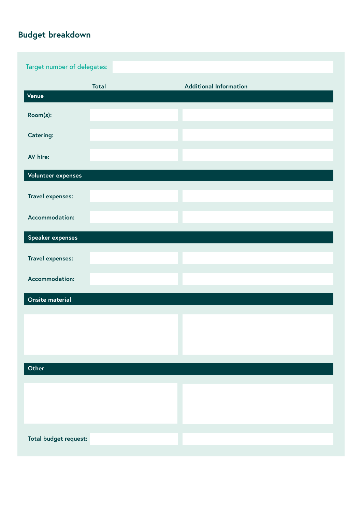## **Budget breakdown**

| Target number of delegates: |              |                               |  |
|-----------------------------|--------------|-------------------------------|--|
|                             | <b>Total</b> | <b>Additional Information</b> |  |
| Venue                       |              |                               |  |
| Room(s):                    |              |                               |  |
| Catering:                   |              |                               |  |
| AV hire:                    |              |                               |  |
| Volunteer expenses          |              |                               |  |
| Travel expenses:            |              |                               |  |
| Accommodation:              |              |                               |  |
| Speaker expenses            |              |                               |  |
| Travel expenses:            |              |                               |  |
| Accommodation:              |              |                               |  |
| Onsite material             |              |                               |  |
|                             |              |                               |  |
|                             |              |                               |  |
| Other                       |              |                               |  |
|                             |              |                               |  |
|                             |              |                               |  |
|                             |              |                               |  |
| Total budget request:       |              |                               |  |